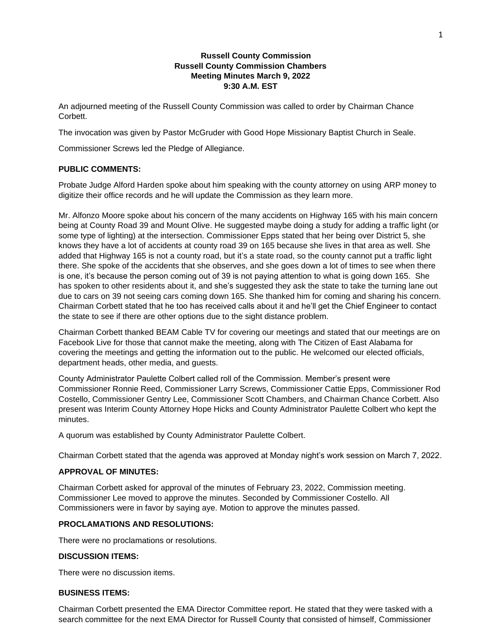## **Russell County Commission Russell County Commission Chambers Meeting Minutes March 9, 2022 9:30 A.M. EST**

An adjourned meeting of the Russell County Commission was called to order by Chairman Chance Corbett.

The invocation was given by Pastor McGruder with Good Hope Missionary Baptist Church in Seale.

Commissioner Screws led the Pledge of Allegiance.

## **PUBLIC COMMENTS:**

Probate Judge Alford Harden spoke about him speaking with the county attorney on using ARP money to digitize their office records and he will update the Commission as they learn more.

Mr. Alfonzo Moore spoke about his concern of the many accidents on Highway 165 with his main concern being at County Road 39 and Mount Olive. He suggested maybe doing a study for adding a traffic light (or some type of lighting) at the intersection. Commissioner Epps stated that her being over District 5, she knows they have a lot of accidents at county road 39 on 165 because she lives in that area as well. She added that Highway 165 is not a county road, but it's a state road, so the county cannot put a traffic light there. She spoke of the accidents that she observes, and she goes down a lot of times to see when there is one, it's because the person coming out of 39 is not paying attention to what is going down 165. She has spoken to other residents about it, and she's suggested they ask the state to take the turning lane out due to cars on 39 not seeing cars coming down 165. She thanked him for coming and sharing his concern. Chairman Corbett stated that he too has received calls about it and he'll get the Chief Engineer to contact the state to see if there are other options due to the sight distance problem.

Chairman Corbett thanked BEAM Cable TV for covering our meetings and stated that our meetings are on Facebook Live for those that cannot make the meeting, along with The Citizen of East Alabama for covering the meetings and getting the information out to the public. He welcomed our elected officials, department heads, other media, and guests.

County Administrator Paulette Colbert called roll of the Commission. Member's present were Commissioner Ronnie Reed, Commissioner Larry Screws, Commissioner Cattie Epps, Commissioner Rod Costello, Commissioner Gentry Lee, Commissioner Scott Chambers, and Chairman Chance Corbett. Also present was Interim County Attorney Hope Hicks and County Administrator Paulette Colbert who kept the minutes.

A quorum was established by County Administrator Paulette Colbert.

Chairman Corbett stated that the agenda was approved at Monday night's work session on March 7, 2022.

## **APPROVAL OF MINUTES:**

Chairman Corbett asked for approval of the minutes of February 23, 2022, Commission meeting. Commissioner Lee moved to approve the minutes. Seconded by Commissioner Costello. All Commissioners were in favor by saying aye. Motion to approve the minutes passed.

## **PROCLAMATIONS AND RESOLUTIONS:**

There were no proclamations or resolutions.

## **DISCUSSION ITEMS:**

There were no discussion items.

## **BUSINESS ITEMS:**

Chairman Corbett presented the EMA Director Committee report. He stated that they were tasked with a search committee for the next EMA Director for Russell County that consisted of himself, Commissioner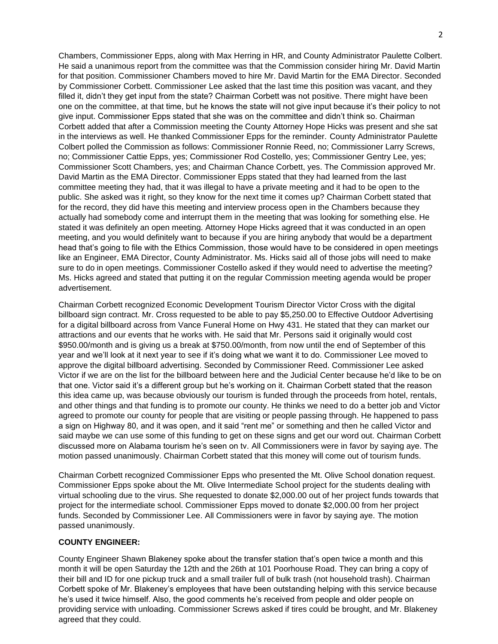Chambers, Commissioner Epps, along with Max Herring in HR, and County Administrator Paulette Colbert. He said a unanimous report from the committee was that the Commission consider hiring Mr. David Martin for that position. Commissioner Chambers moved to hire Mr. David Martin for the EMA Director. Seconded by Commissioner Corbett. Commissioner Lee asked that the last time this position was vacant, and they filled it, didn't they get input from the state? Chairman Corbett was not positive. There might have been one on the committee, at that time, but he knows the state will not give input because it's their policy to not give input. Commissioner Epps stated that she was on the committee and didn't think so. Chairman Corbett added that after a Commission meeting the County Attorney Hope Hicks was present and she sat in the interviews as well. He thanked Commissioner Epps for the reminder. County Administrator Paulette Colbert polled the Commission as follows: Commissioner Ronnie Reed, no; Commissioner Larry Screws, no; Commissioner Cattie Epps, yes; Commissioner Rod Costello, yes; Commissioner Gentry Lee, yes; Commissioner Scott Chambers, yes; and Chairman Chance Corbett, yes. The Commission approved Mr. David Martin as the EMA Director. Commissioner Epps stated that they had learned from the last committee meeting they had, that it was illegal to have a private meeting and it had to be open to the public. She asked was it right, so they know for the next time it comes up? Chairman Corbett stated that for the record, they did have this meeting and interview process open in the Chambers because they actually had somebody come and interrupt them in the meeting that was looking for something else. He stated it was definitely an open meeting. Attorney Hope Hicks agreed that it was conducted in an open meeting, and you would definitely want to because if you are hiring anybody that would be a department head that's going to file with the Ethics Commission, those would have to be considered in open meetings like an Engineer, EMA Director, County Administrator. Ms. Hicks said all of those jobs will need to make sure to do in open meetings. Commissioner Costello asked if they would need to advertise the meeting? Ms. Hicks agreed and stated that putting it on the regular Commission meeting agenda would be proper advertisement.

Chairman Corbett recognized Economic Development Tourism Director Victor Cross with the digital billboard sign contract. Mr. Cross requested to be able to pay \$5,250.00 to Effective Outdoor Advertising for a digital billboard across from Vance Funeral Home on Hwy 431. He stated that they can market our attractions and our events that he works with. He said that Mr. Persons said it originally would cost \$950.00/month and is giving us a break at \$750.00/month, from now until the end of September of this year and we'll look at it next year to see if it's doing what we want it to do. Commissioner Lee moved to approve the digital billboard advertising. Seconded by Commissioner Reed. Commissioner Lee asked Victor if we are on the list for the billboard between here and the Judicial Center because he'd like to be on that one. Victor said it's a different group but he's working on it. Chairman Corbett stated that the reason this idea came up, was because obviously our tourism is funded through the proceeds from hotel, rentals, and other things and that funding is to promote our county. He thinks we need to do a better job and Victor agreed to promote our county for people that are visiting or people passing through. He happened to pass a sign on Highway 80, and it was open, and it said "rent me" or something and then he called Victor and said maybe we can use some of this funding to get on these signs and get our word out. Chairman Corbett discussed more on Alabama tourism he's seen on tv. All Commissioners were in favor by saying aye. The motion passed unanimously. Chairman Corbett stated that this money will come out of tourism funds.

Chairman Corbett recognized Commissioner Epps who presented the Mt. Olive School donation request. Commissioner Epps spoke about the Mt. Olive Intermediate School project for the students dealing with virtual schooling due to the virus. She requested to donate \$2,000.00 out of her project funds towards that project for the intermediate school. Commissioner Epps moved to donate \$2,000.00 from her project funds. Seconded by Commissioner Lee. All Commissioners were in favor by saying aye. The motion passed unanimously.

## **COUNTY ENGINEER:**

County Engineer Shawn Blakeney spoke about the transfer station that's open twice a month and this month it will be open Saturday the 12th and the 26th at 101 Poorhouse Road. They can bring a copy of their bill and ID for one pickup truck and a small trailer full of bulk trash (not household trash). Chairman Corbett spoke of Mr. Blakeney's employees that have been outstanding helping with this service because he's used it twice himself. Also, the good comments he's received from people and older people on providing service with unloading. Commissioner Screws asked if tires could be brought, and Mr. Blakeney agreed that they could.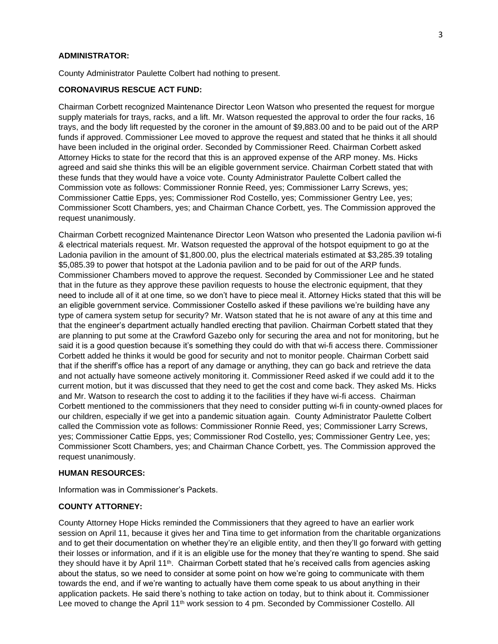### **ADMINISTRATOR:**

County Administrator Paulette Colbert had nothing to present.

## **CORONAVIRUS RESCUE ACT FUND:**

Chairman Corbett recognized Maintenance Director Leon Watson who presented the request for morgue supply materials for trays, racks, and a lift. Mr. Watson requested the approval to order the four racks, 16 trays, and the body lift requested by the coroner in the amount of \$9,883.00 and to be paid out of the ARP funds if approved. Commissioner Lee moved to approve the request and stated that he thinks it all should have been included in the original order. Seconded by Commissioner Reed. Chairman Corbett asked Attorney Hicks to state for the record that this is an approved expense of the ARP money. Ms. Hicks agreed and said she thinks this will be an eligible government service. Chairman Corbett stated that with these funds that they would have a voice vote. County Administrator Paulette Colbert called the Commission vote as follows: Commissioner Ronnie Reed, yes; Commissioner Larry Screws, yes; Commissioner Cattie Epps, yes; Commissioner Rod Costello, yes; Commissioner Gentry Lee, yes; Commissioner Scott Chambers, yes; and Chairman Chance Corbett, yes. The Commission approved the request unanimously.

Chairman Corbett recognized Maintenance Director Leon Watson who presented the Ladonia pavilion wi-fi & electrical materials request. Mr. Watson requested the approval of the hotspot equipment to go at the Ladonia pavilion in the amount of \$1,800.00, plus the electrical materials estimated at \$3,285.39 totaling \$5,085.39 to power that hotspot at the Ladonia pavilion and to be paid for out of the ARP funds. Commissioner Chambers moved to approve the request. Seconded by Commissioner Lee and he stated that in the future as they approve these pavilion requests to house the electronic equipment, that they need to include all of it at one time, so we don't have to piece meal it. Attorney Hicks stated that this will be an eligible government service. Commissioner Costello asked if these pavilions we're building have any type of camera system setup for security? Mr. Watson stated that he is not aware of any at this time and that the engineer's department actually handled erecting that pavilion. Chairman Corbett stated that they are planning to put some at the Crawford Gazebo only for securing the area and not for monitoring, but he said it is a good question because it's something they could do with that wi-fi access there. Commissioner Corbett added he thinks it would be good for security and not to monitor people. Chairman Corbett said that if the sheriff's office has a report of any damage or anything, they can go back and retrieve the data and not actually have someone actively monitoring it. Commissioner Reed asked if we could add it to the current motion, but it was discussed that they need to get the cost and come back. They asked Ms. Hicks and Mr. Watson to research the cost to adding it to the facilities if they have wi-fi access. Chairman Corbett mentioned to the commissioners that they need to consider putting wi-fi in county-owned places for our children, especially if we get into a pandemic situation again. County Administrator Paulette Colbert called the Commission vote as follows: Commissioner Ronnie Reed, yes; Commissioner Larry Screws, yes; Commissioner Cattie Epps, yes; Commissioner Rod Costello, yes; Commissioner Gentry Lee, yes; Commissioner Scott Chambers, yes; and Chairman Chance Corbett, yes. The Commission approved the request unanimously.

#### **HUMAN RESOURCES:**

Information was in Commissioner's Packets.

#### **COUNTY ATTORNEY:**

County Attorney Hope Hicks reminded the Commissioners that they agreed to have an earlier work session on April 11, because it gives her and Tina time to get information from the charitable organizations and to get their documentation on whether they're an eligible entity, and then they'll go forward with getting their losses or information, and if it is an eligible use for the money that they're wanting to spend. She said they should have it by April 11<sup>th</sup>. Chairman Corbett stated that he's received calls from agencies asking about the status, so we need to consider at some point on how we're going to communicate with them towards the end, and if we're wanting to actually have them come speak to us about anything in their application packets. He said there's nothing to take action on today, but to think about it. Commissioner Lee moved to change the April 11<sup>th</sup> work session to 4 pm. Seconded by Commissioner Costello. All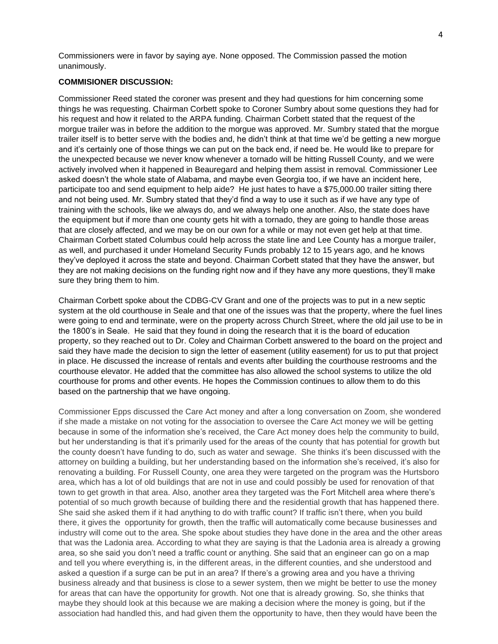Commissioners were in favor by saying aye. None opposed. The Commission passed the motion unanimously.

## **COMMISIONER DISCUSSION:**

Commissioner Reed stated the coroner was present and they had questions for him concerning some things he was requesting. Chairman Corbett spoke to Coroner Sumbry about some questions they had for his request and how it related to the ARPA funding. Chairman Corbett stated that the request of the morgue trailer was in before the addition to the morgue was approved. Mr. Sumbry stated that the morgue trailer itself is to better serve with the bodies and, he didn't think at that time we'd be getting a new morgue and it's certainly one of those things we can put on the back end, if need be. He would like to prepare for the unexpected because we never know whenever a tornado will be hitting Russell County, and we were actively involved when it happened in Beauregard and helping them assist in removal. Commissioner Lee asked doesn't the whole state of Alabama, and maybe even Georgia too, if we have an incident here, participate too and send equipment to help aide? He just hates to have a \$75,000.00 trailer sitting there and not being used. Mr. Sumbry stated that they'd find a way to use it such as if we have any type of training with the schools, like we always do, and we always help one another. Also, the state does have the equipment but if more than one county gets hit with a tornado, they are going to handle those areas that are closely affected, and we may be on our own for a while or may not even get help at that time. Chairman Corbett stated Columbus could help across the state line and Lee County has a morgue trailer, as well, and purchased it under Homeland Security Funds probably 12 to 15 years ago, and he knows they've deployed it across the state and beyond. Chairman Corbett stated that they have the answer, but they are not making decisions on the funding right now and if they have any more questions, they'll make sure they bring them to him.

Chairman Corbett spoke about the CDBG-CV Grant and one of the projects was to put in a new septic system at the old courthouse in Seale and that one of the issues was that the property, where the fuel lines were going to end and terminate, were on the property across Church Street, where the old jail use to be in the 1800's in Seale. He said that they found in doing the research that it is the board of education property, so they reached out to Dr. Coley and Chairman Corbett answered to the board on the project and said they have made the decision to sign the letter of easement (utility easement) for us to put that project in place. He discussed the increase of rentals and events after building the courthouse restrooms and the courthouse elevator. He added that the committee has also allowed the school systems to utilize the old courthouse for proms and other events. He hopes the Commission continues to allow them to do this based on the partnership that we have ongoing.

Commissioner Epps discussed the Care Act money and after a long conversation on Zoom, she wondered if she made a mistake on not voting for the association to oversee the Care Act money we will be getting because in some of the information she's received, the Care Act money does help the community to build, but her understanding is that it's primarily used for the areas of the county that has potential for growth but the county doesn't have funding to do, such as water and sewage. She thinks it's been discussed with the attorney on building a building, but her understanding based on the information she's received, it's also for renovating a building. For Russell County, one area they were targeted on the program was the Hurtsboro area, which has a lot of old buildings that are not in use and could possibly be used for renovation of that town to get growth in that area. Also, another area they targeted was the Fort Mitchell area where there's potential of so much growth because of building there and the residential growth that has happened there. She said she asked them if it had anything to do with traffic count? If traffic isn't there, when you build there, it gives the opportunity for growth, then the traffic will automatically come because businesses and industry will come out to the area. She spoke about studies they have done in the area and the other areas that was the Ladonia area. According to what they are saying is that the Ladonia area is already a growing area, so she said you don't need a traffic count or anything. She said that an engineer can go on a map and tell you where everything is, in the different areas, in the different counties, and she understood and asked a question if a surge can be put in an area? If there's a growing area and you have a thriving business already and that business is close to a sewer system, then we might be better to use the money for areas that can have the opportunity for growth. Not one that is already growing. So, she thinks that maybe they should look at this because we are making a decision where the money is going, but if the association had handled this, and had given them the opportunity to have, then they would have been the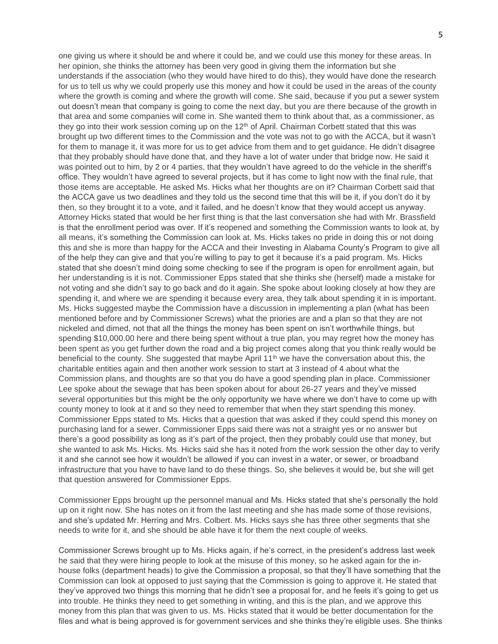one giving us where it should be and where it could be, and we could use this money for these areas. In her opinion, she thinks the attorney has been very good in giving them the information but she understands if the association (who they would have hired to do this), they would have done the research for us to tell us why we could properly use this money and how it could be used in the areas of the county where the growth is coming and where the growth will come. She said, because if you put a sewer system out doesn't mean that company is going to come the next day, but you are there because of the growth in that area and some companies will come in. She wanted them to think about that, as a commissioner, as they go into their work session coming up on the 12<sup>th</sup> of April. Chairman Corbett stated that this was brought up two different times to the Commission and the vote was not to go with the ACCA, but it wasn't for them to manage it, it was more for us to get advice from them and to get guidance. He didn't disagree that they probably should have done that, and they have a lot of water under that bridge now. He said it was pointed out to him, by 2 or 4 parties, that they wouldn't have agreed to do the vehicle in the sheriff's office. They wouldn't have agreed to several projects, but it has come to light now with the final rule, that those items are acceptable. He asked Ms. Hicks what her thoughts are on it? Chairman Corbett said that the ACCA gave us two deadlines and they told us the second time that this will be it, if you don't do it by then, so they brought it to a vote, and it failed, and he doesn't know that they would accept us anyway. Attorney Hicks stated that would be her first thing is that the last conversation she had with Mr. Brassfield is that the enrollment period was over. If it's reopened and something the Commission wants to look at, by all means, it's something the Commission can look at. Ms. Hicks takes no pride in doing this or not doing this and she is more than happy for the ACCA and their Investing in Alabama County's Program to give all of the help they can give and that you're willing to pay to get it because it's a paid program. Ms. Hicks stated that she doesn't mind doing some checking to see if the program is open for enrollment again, but her understanding is it is not. Commissioner Epps stated that she thinks she (herself) made a mistake for not voting and she didn't say to go back and do it again. She spoke about looking closely at how they are spending it, and where we are spending it because every area, they talk about spending it in is important. Ms. Hicks suggested maybe the Commission have a discussion in implementing a plan (what has been mentioned before and by Commissioner Screws) what the priories are and a plan so that they are not nickeled and dimed, not that all the things the money has been spent on isn't worthwhile things, but spending \$10,000.00 here and there being spent without a true plan, you may regret how the money has been spent as you get further down the road and a big project comes along that you think really would be beneficial to the county. She suggested that maybe April  $11<sup>th</sup>$  we have the conversation about this, the charitable entities again and then another work session to start at 3 instead of 4 about what the Commission plans, and thoughts are so that you do have a good spending plan in place. Commissioner Lee spoke about the sewage that has been spoken about for about 26-27 years and they've missed several opportunities but this might be the only opportunity we have where we don't have to come up with county money to look at it and so they need to remember that when they start spending this money. Commissioner Epps stated to Ms. Hicks that a question that was asked if they could spend this money on purchasing land for a sewer. Commissioner Epps said there was not a straight yes or no answer but there's a good possibility as long as it's part of the project, then they probably could use that money, but she wanted to ask Ms. Hicks. Ms. Hicks said she has it noted from the work session the other day to verify it and she cannot see how it wouldn't be allowed if you can invest in a water, or sewer, or broadband infrastructure that you have to have land to do these things. So, she believes it would be, but she will get that question answered for Commissioner Epps.

Commissioner Epps brought up the personnel manual and Ms. Hicks stated that she's personally the hold up on it right now. She has notes on it from the last meeting and she has made some of those revisions, and she's updated Mr. Herring and Mrs. Colbert. Ms. Hicks says she has three other segments that she needs to write for it, and she should be able have it for them the next couple of weeks.

Commissioner Screws brought up to Ms. Hicks again, if he's correct, in the president's address last week he said that they were hiring people to look at the misuse of this money, so he asked again for the inhouse folks (department heads) to give the Commission a proposal, so that they'll have something that the Commission can look at opposed to just saying that the Commission is going to approve it. He stated that they've approved two things this morning that he didn't see a proposal for, and he feels it's going to get us into trouble. He thinks they need to get something in writing, and this is the plan, and we approve this money from this plan that was given to us. Ms. Hicks stated that it would be better documentation for the files and what is being approved is for government services and she thinks they're eligible uses. She thinks